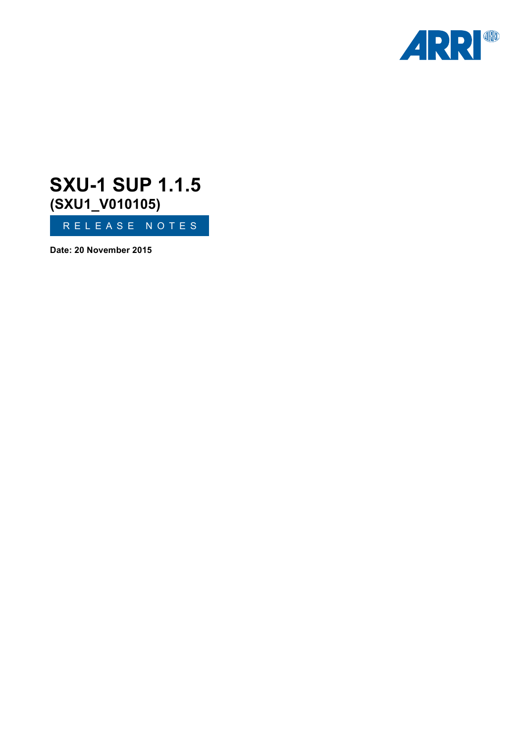

# RELEASE NOTES **SXU-1 SUP 1.1.5 (SXU1\_V010105)**

**Date: 20 November 2015**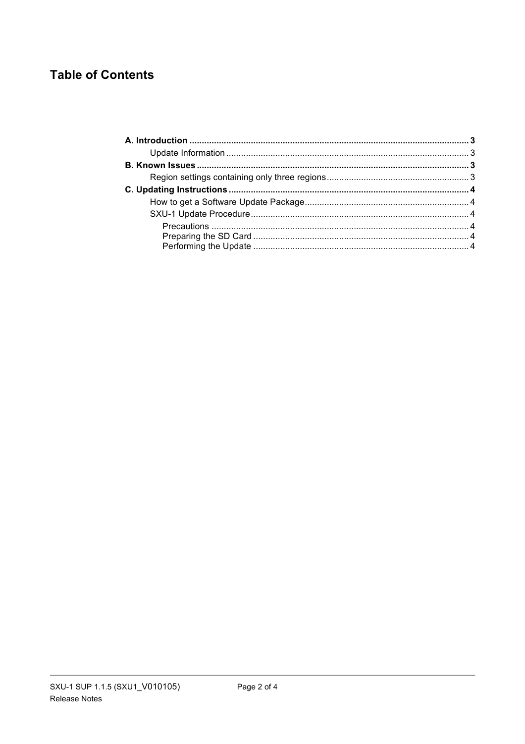# **Table of Contents**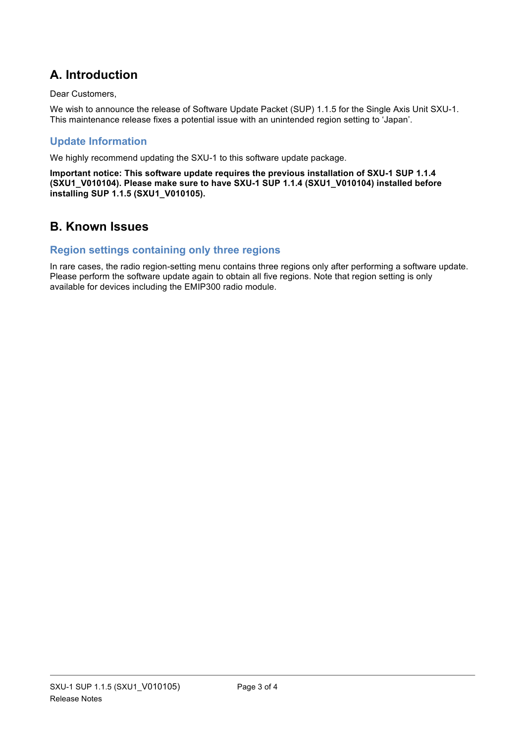# **A. Introduction**

#### Dear Customers,

We wish to announce the release of Software Update Packet (SUP) 1.1.5 for the Single Axis Unit SXU-1. This maintenance release fixes a potential issue with an unintended region setting to 'Japan'.

### **Update Information**

We highly recommend updating the SXU-1 to this software update package.

**Important notice: This software update requires the previous installation of SXU-1 SUP 1.1.4 (SXU1\_V010104). Please make sure to have SXU-1 SUP 1.1.4 (SXU1\_V010104) installed before installing SUP 1.1.5 (SXU1\_V010105).**

## **B. Known Issues**

### **Region settings containing only three regions**

In rare cases, the radio region-setting menu contains three regions only after performing a software update. Please perform the software update again to obtain all five regions. Note that region setting is only available for devices including the EMIP300 radio module.